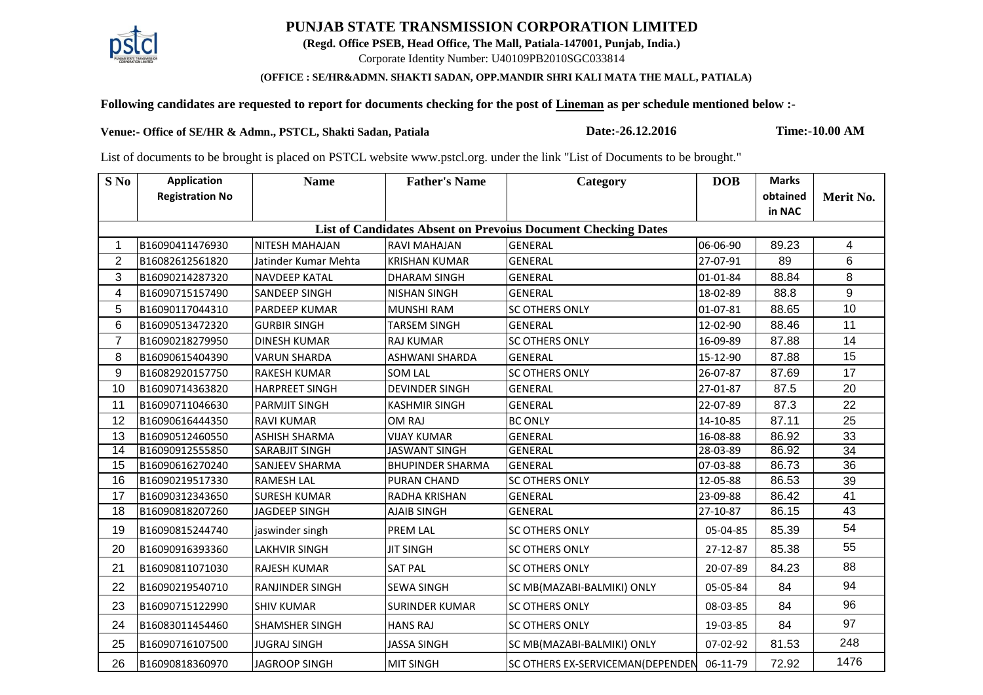## **PUNJAB STATE TRANSMISSION CORPORATION LIMITED**

**(Regd. Office PSEB, Head Office, The Mall, Patiala-147001, Punjab, India.)**

Corporate Identity Number: U40109PB2010SGC033814

## **(OFFICE : SE/HR&ADMN. SHAKTI SADAN, OPP.MANDIR SHRI KALI MATA THE MALL, PATIALA)**

## **Following candidates are requested to report for documents checking for the post of Lineman as per schedule mentioned below :-**

**Venue:- Office of SE/HR & Admn., PSTCL, Shakti Sadan, Patiala Date:-26.12.2016 Time:-10.00 AM**

List of documents to be brought is placed on PSTCL website www.pstcl.org. under the link "List of Documents to be brought."

| S No                                                                 | <b>Application</b>     | <b>Name</b>            | <b>Father's Name</b>    | Category                                | <b>DOB</b> | <b>Marks</b> |                |  |  |  |  |  |
|----------------------------------------------------------------------|------------------------|------------------------|-------------------------|-----------------------------------------|------------|--------------|----------------|--|--|--|--|--|
|                                                                      | <b>Registration No</b> |                        |                         |                                         |            | obtained     | Merit No.      |  |  |  |  |  |
|                                                                      |                        |                        |                         |                                         |            | in NAC       |                |  |  |  |  |  |
| <b>List of Candidates Absent on Prevoius Document Checking Dates</b> |                        |                        |                         |                                         |            |              |                |  |  |  |  |  |
| $\mathbf 1$                                                          | B16090411476930        | <b>NITESH MAHAJAN</b>  | <b>RAVI MAHAJAN</b>     | <b>GENERAL</b>                          | 06-06-90   | 89.23        | $\overline{4}$ |  |  |  |  |  |
| 2                                                                    | B16082612561820        | Jatinder Kumar Mehta   | <b>KRISHAN KUMAR</b>    | <b>GENERAL</b>                          | 27-07-91   | 89           | 6              |  |  |  |  |  |
| $\mathfrak{B}$                                                       | B16090214287320        | <b>NAVDEEP KATAL</b>   | <b>DHARAM SINGH</b>     | <b>GENERAL</b>                          | 01-01-84   | 88.84        | 8              |  |  |  |  |  |
| 4                                                                    | B16090715157490        | <b>SANDEEP SINGH</b>   | <b>NISHAN SINGH</b>     | <b>GENERAL</b>                          | 18-02-89   | 88.8         | 9              |  |  |  |  |  |
| 5                                                                    | B16090117044310        | <b>PARDEEP KUMAR</b>   | <b>MUNSHI RAM</b>       | <b>SC OTHERS ONLY</b>                   | 01-07-81   | 88.65        | 10             |  |  |  |  |  |
| $6\phantom{1}$                                                       | B16090513472320        | <b>GURBIR SINGH</b>    | <b>TARSEM SINGH</b>     | <b>GENERAL</b>                          | 12-02-90   | 88.46        | 11             |  |  |  |  |  |
| $\overline{7}$                                                       | B16090218279950        | <b>DINESH KUMAR</b>    | <b>RAJ KUMAR</b>        | <b>SC OTHERS ONLY</b>                   | 16-09-89   | 87.88        | 14             |  |  |  |  |  |
| 8                                                                    | B16090615404390        | <b>VARUN SHARDA</b>    | <b>ASHWANI SHARDA</b>   | <b>GENERAL</b>                          | 15-12-90   | 87.88        | 15             |  |  |  |  |  |
| 9                                                                    | B16082920157750        | <b>RAKESH KUMAR</b>    | <b>SOM LAL</b>          | <b>SC OTHERS ONLY</b>                   | 26-07-87   | 87.69        | 17             |  |  |  |  |  |
| 10                                                                   | B16090714363820        | <b>HARPREET SINGH</b>  | <b>DEVINDER SINGH</b>   | <b>GENERAL</b>                          | 27-01-87   | 87.5         | 20             |  |  |  |  |  |
| 11                                                                   | B16090711046630        | <b>PARMJIT SINGH</b>   | <b>KASHMIR SINGH</b>    | <b>GENERAL</b>                          | 22-07-89   | 87.3         | 22             |  |  |  |  |  |
| 12                                                                   | B16090616444350        | <b>RAVI KUMAR</b>      | OM RAJ                  | <b>BC ONLY</b>                          | 14-10-85   | 87.11        | 25             |  |  |  |  |  |
| 13                                                                   | B16090512460550        | <b>ASHISH SHARMA</b>   | <b>VIJAY KUMAR</b>      | <b>GENERAL</b>                          | 16-08-88   | 86.92        | 33             |  |  |  |  |  |
| 14                                                                   | B16090912555850        | <b>SARABJIT SINGH</b>  | <b>JASWANT SINGH</b>    | <b>GENERAL</b>                          | 28-03-89   | 86.92        | 34             |  |  |  |  |  |
| 15                                                                   | B16090616270240        | <b>SANJEEV SHARMA</b>  | <b>BHUPINDER SHARMA</b> | <b>GENERAL</b>                          | 07-03-88   | 86.73        | 36             |  |  |  |  |  |
| 16                                                                   | B16090219517330        | <b>RAMESH LAL</b>      | <b>PURAN CHAND</b>      | <b>SC OTHERS ONLY</b>                   | 12-05-88   | 86.53        | 39             |  |  |  |  |  |
| 17                                                                   | B16090312343650        | <b>SURESH KUMAR</b>    | RADHA KRISHAN           | <b>GENERAL</b>                          | 23-09-88   | 86.42        | 41             |  |  |  |  |  |
| 18                                                                   | B16090818207260        | JAGDEEP SINGH          | <b>AJAIB SINGH</b>      | <b>GENERAL</b>                          | 27-10-87   | 86.15        | 43             |  |  |  |  |  |
| 19                                                                   | B16090815244740        | jaswinder singh        | PREM LAL                | <b>SC OTHERS ONLY</b>                   | 05-04-85   | 85.39        | 54             |  |  |  |  |  |
| 20                                                                   | B16090916393360        | <b>LAKHVIR SINGH</b>   | <b>JIT SINGH</b>        | <b>SC OTHERS ONLY</b>                   | 27-12-87   | 85.38        | 55             |  |  |  |  |  |
| 21                                                                   | B16090811071030        | <b>RAJESH KUMAR</b>    | <b>SAT PAL</b>          | <b>SC OTHERS ONLY</b>                   | 20-07-89   | 84.23        | 88             |  |  |  |  |  |
| 22                                                                   | B16090219540710        | <b>RANJINDER SINGH</b> | <b>SEWA SINGH</b>       | SC MB(MAZABI-BALMIKI) ONLY              | 05-05-84   | 84           | 94             |  |  |  |  |  |
| 23                                                                   | B16090715122990        | <b>SHIV KUMAR</b>      | <b>SURINDER KUMAR</b>   | <b>SC OTHERS ONLY</b>                   | 08-03-85   | 84           | 96             |  |  |  |  |  |
| 24                                                                   | B16083011454460        | <b>SHAMSHER SINGH</b>  | <b>HANS RAJ</b>         | <b>SC OTHERS ONLY</b>                   | 19-03-85   | 84           | 97             |  |  |  |  |  |
| 25                                                                   | B16090716107500        | <b>JUGRAJ SINGH</b>    | <b>JASSA SINGH</b>      | SC MB(MAZABI-BALMIKI) ONLY              | 07-02-92   | 81.53        | 248            |  |  |  |  |  |
| 26                                                                   | B16090818360970        | <b>JAGROOP SINGH</b>   | <b>MIT SINGH</b>        | <b>SC OTHERS EX-SERVICEMAN(DEPENDEN</b> | 06-11-79   | 72.92        | 1476           |  |  |  |  |  |